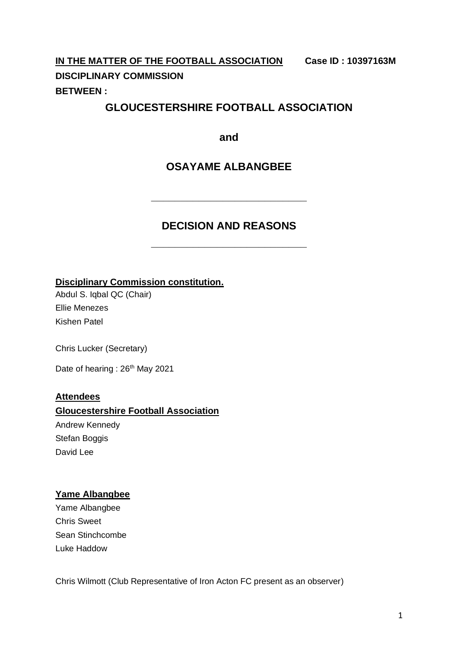**IN THE MATTER OF THE FOOTBALL ASSOCIATION Case ID : 10397163M DISCIPLINARY COMMISSION BETWEEN :**

# **GLOUCESTERSHIRE FOOTBALL ASSOCIATION**

**and**

# **OSAYAME ALBANGBEE**

# **DECISION AND REASONS**

**\_\_\_\_\_\_\_\_\_\_\_\_\_\_\_\_\_\_\_\_\_\_\_\_\_\_**

**\_\_\_\_\_\_\_\_\_\_\_\_\_\_\_\_\_\_\_\_\_\_\_\_\_\_**

**Disciplinary Commission constitution.**

Abdul S. Iqbal QC (Chair) Ellie Menezes Kishen Patel

Chris Lucker (Secretary)

Date of hearing : 26<sup>th</sup> May 2021

### **Attendees**

#### **Gloucestershire Football Association**

Andrew Kennedy Stefan Boggis David Lee

### **Yame Albangbee**

Yame Albangbee Chris Sweet Sean Stinchcombe Luke Haddow

Chris Wilmott (Club Representative of Iron Acton FC present as an observer)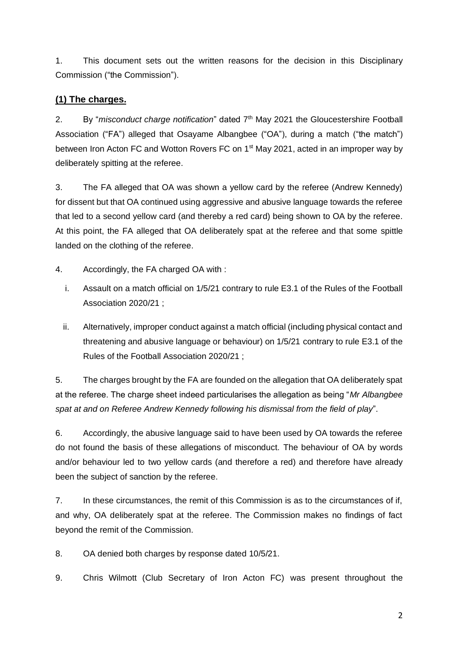1. This document sets out the written reasons for the decision in this Disciplinary Commission ("the Commission").

## **(1) The charges.**

2. By "*misconduct charge notification*" dated 7<sup>th</sup> May 2021 the Gloucestershire Football Association ("FA") alleged that Osayame Albangbee ("OA"), during a match ("the match") between Iron Acton FC and Wotton Rovers FC on 1<sup>st</sup> May 2021, acted in an improper way by deliberately spitting at the referee.

3. The FA alleged that OA was shown a yellow card by the referee (Andrew Kennedy) for dissent but that OA continued using aggressive and abusive language towards the referee that led to a second yellow card (and thereby a red card) being shown to OA by the referee. At this point, the FA alleged that OA deliberately spat at the referee and that some spittle landed on the clothing of the referee.

4. Accordingly, the FA charged OA with :

- i. Assault on a match official on 1/5/21 contrary to rule E3.1 of the Rules of the Football Association 2020/21 ;
- ii. Alternatively, improper conduct against a match official (including physical contact and threatening and abusive language or behaviour) on 1/5/21 contrary to rule E3.1 of the Rules of the Football Association 2020/21 ;

5. The charges brought by the FA are founded on the allegation that OA deliberately spat at the referee. The charge sheet indeed particularises the allegation as being "*Mr Albangbee spat at and on Referee Andrew Kennedy following his dismissal from the field of play*".

6. Accordingly, the abusive language said to have been used by OA towards the referee do not found the basis of these allegations of misconduct. The behaviour of OA by words and/or behaviour led to two yellow cards (and therefore a red) and therefore have already been the subject of sanction by the referee.

7. In these circumstances, the remit of this Commission is as to the circumstances of if, and why, OA deliberately spat at the referee. The Commission makes no findings of fact beyond the remit of the Commission.

8. OA denied both charges by response dated 10/5/21.

9. Chris Wilmott (Club Secretary of Iron Acton FC) was present throughout the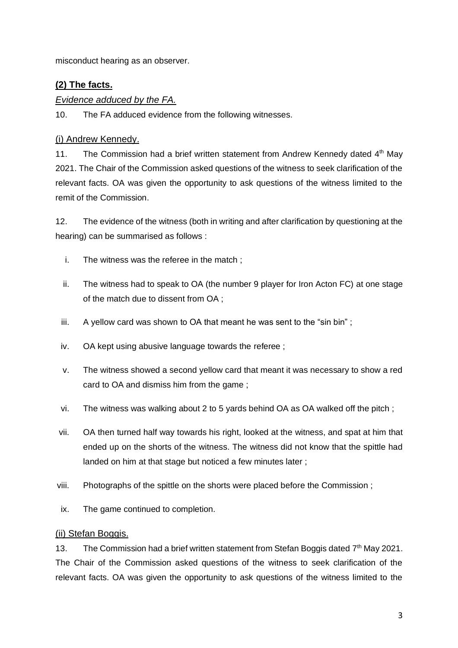misconduct hearing as an observer.

## **(2) The facts.**

#### *Evidence adduced by the FA.*

10. The FA adduced evidence from the following witnesses.

#### (i) Andrew Kennedy.

11. The Commission had a brief written statement from Andrew Kennedy dated  $4<sup>th</sup>$  May 2021. The Chair of the Commission asked questions of the witness to seek clarification of the relevant facts. OA was given the opportunity to ask questions of the witness limited to the remit of the Commission.

12. The evidence of the witness (both in writing and after clarification by questioning at the hearing) can be summarised as follows :

- i. The witness was the referee in the match ;
- ii. The witness had to speak to OA (the number 9 player for Iron Acton FC) at one stage of the match due to dissent from OA ;
- iii. A yellow card was shown to OA that meant he was sent to the "sin bin";
- iv. OA kept using abusive language towards the referee ;
- v. The witness showed a second yellow card that meant it was necessary to show a red card to OA and dismiss him from the game ;
- vi. The witness was walking about 2 to 5 yards behind OA as OA walked off the pitch ;
- vii. OA then turned half way towards his right, looked at the witness, and spat at him that ended up on the shorts of the witness. The witness did not know that the spittle had landed on him at that stage but noticed a few minutes later ;
- viii. Photographs of the spittle on the shorts were placed before the Commission ;
- ix. The game continued to completion.

#### (ii) Stefan Boggis.

13. The Commission had a brief written statement from Stefan Boggis dated 7<sup>th</sup> May 2021. The Chair of the Commission asked questions of the witness to seek clarification of the relevant facts. OA was given the opportunity to ask questions of the witness limited to the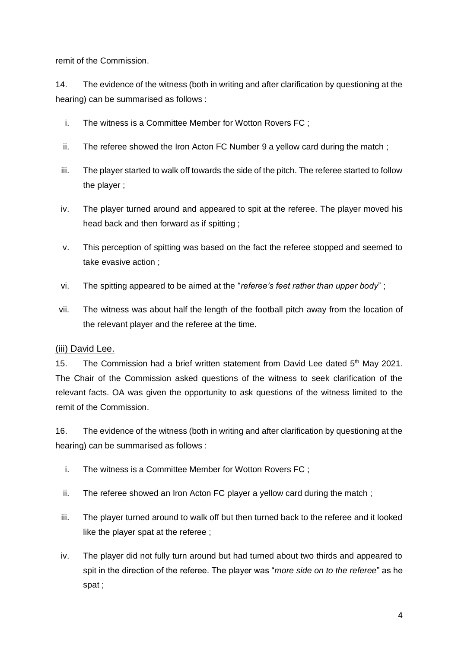remit of the Commission.

14. The evidence of the witness (both in writing and after clarification by questioning at the hearing) can be summarised as follows :

- i. The witness is a Committee Member for Wotton Rovers FC ;
- ii. The referee showed the Iron Acton FC Number 9 a yellow card during the match ;
- iii. The player started to walk off towards the side of the pitch. The referee started to follow the player ;
- iv. The player turned around and appeared to spit at the referee. The player moved his head back and then forward as if spitting ;
- v. This perception of spitting was based on the fact the referee stopped and seemed to take evasive action ;
- vi. The spitting appeared to be aimed at the "*referee's feet rather than upper body*" ;
- vii. The witness was about half the length of the football pitch away from the location of the relevant player and the referee at the time.

#### (iii) David Lee.

15. The Commission had a brief written statement from David Lee dated  $5<sup>th</sup>$  May 2021. The Chair of the Commission asked questions of the witness to seek clarification of the relevant facts. OA was given the opportunity to ask questions of the witness limited to the remit of the Commission.

16. The evidence of the witness (both in writing and after clarification by questioning at the hearing) can be summarised as follows :

- i. The witness is a Committee Member for Wotton Rovers FC ;
- ii. The referee showed an Iron Acton FC player a yellow card during the match ;
- iii. The player turned around to walk off but then turned back to the referee and it looked like the player spat at the referee ;
- iv. The player did not fully turn around but had turned about two thirds and appeared to spit in the direction of the referee. The player was "*more side on to the referee*" as he spat ;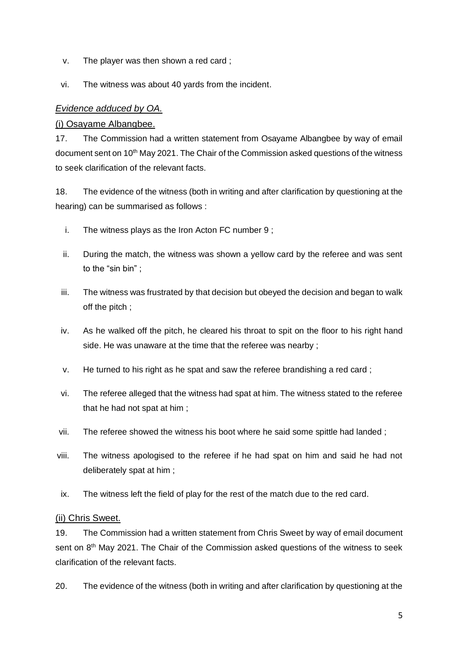- v. The player was then shown a red card ;
- vi. The witness was about 40 yards from the incident.

#### *Evidence adduced by OA.*

#### (i) Osayame Albangbee.

17. The Commission had a written statement from Osayame Albangbee by way of email document sent on 10th May 2021. The Chair of the Commission asked questions of the witness to seek clarification of the relevant facts.

18. The evidence of the witness (both in writing and after clarification by questioning at the hearing) can be summarised as follows :

- i. The witness plays as the Iron Acton FC number 9 ;
- ii. During the match, the witness was shown a yellow card by the referee and was sent to the "sin bin" ;
- iii. The witness was frustrated by that decision but obeyed the decision and began to walk off the pitch ;
- iv. As he walked off the pitch, he cleared his throat to spit on the floor to his right hand side. He was unaware at the time that the referee was nearby ;
- v. He turned to his right as he spat and saw the referee brandishing a red card ;
- vi. The referee alleged that the witness had spat at him. The witness stated to the referee that he had not spat at him ;
- vii. The referee showed the witness his boot where he said some spittle had landed ;
- viii. The witness apologised to the referee if he had spat on him and said he had not deliberately spat at him ;
- ix. The witness left the field of play for the rest of the match due to the red card.

#### (ii) Chris Sweet.

19. The Commission had a written statement from Chris Sweet by way of email document sent on 8<sup>th</sup> May 2021. The Chair of the Commission asked questions of the witness to seek clarification of the relevant facts.

20. The evidence of the witness (both in writing and after clarification by questioning at the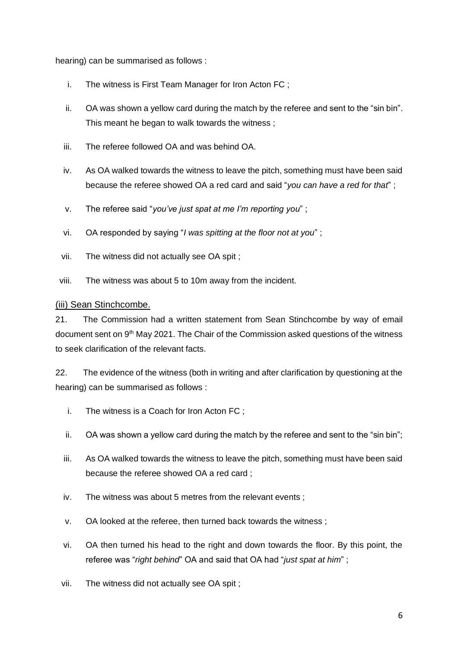hearing) can be summarised as follows :

- i. The witness is First Team Manager for Iron Acton FC ;
- ii. OA was shown a yellow card during the match by the referee and sent to the "sin bin". This meant he began to walk towards the witness ;
- iii. The referee followed OA and was behind OA.
- iv. As OA walked towards the witness to leave the pitch, something must have been said because the referee showed OA a red card and said "*you can have a red for that*" ;
- v. The referee said "*you've just spat at me I'm reporting you*" ;
- vi. OA responded by saying "*I was spitting at the floor not at you*" ;
- vii. The witness did not actually see OA spit ;
- viii. The witness was about 5 to 10m away from the incident.

#### (iii) Sean Stinchcombe.

21. The Commission had a written statement from Sean Stinchcombe by way of email document sent on 9<sup>th</sup> May 2021. The Chair of the Commission asked questions of the witness to seek clarification of the relevant facts.

22. The evidence of the witness (both in writing and after clarification by questioning at the hearing) can be summarised as follows :

- i. The witness is a Coach for Iron Acton FC ;
- ii. OA was shown a yellow card during the match by the referee and sent to the "sin bin";
- iii. As OA walked towards the witness to leave the pitch, something must have been said because the referee showed OA a red card ;
- iv. The witness was about 5 metres from the relevant events ;
- v. OA looked at the referee, then turned back towards the witness ;
- vi. OA then turned his head to the right and down towards the floor. By this point, the referee was "*right behind*" OA and said that OA had "*just spat at him*" ;
- vii. The witness did not actually see OA spit ;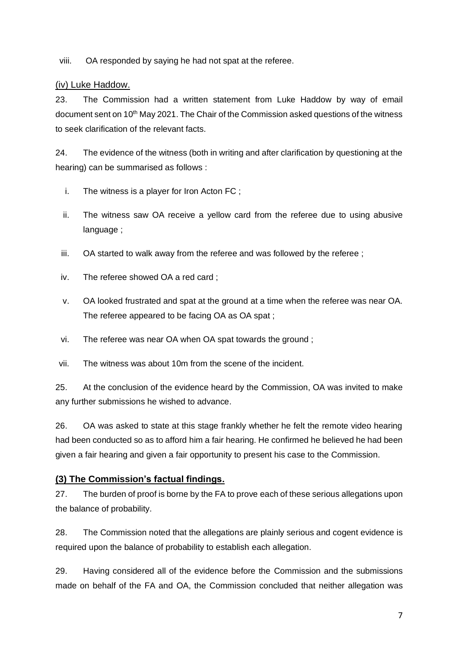viii. OA responded by saying he had not spat at the referee.

#### (iv) Luke Haddow.

23. The Commission had a written statement from Luke Haddow by way of email document sent on 10th May 2021. The Chair of the Commission asked questions of the witness to seek clarification of the relevant facts.

24. The evidence of the witness (both in writing and after clarification by questioning at the hearing) can be summarised as follows :

- i. The witness is a player for Iron Acton FC ;
- ii. The witness saw OA receive a yellow card from the referee due to using abusive language ;
- iii. OA started to walk away from the referee and was followed by the referee ;
- iv. The referee showed OA a red card ;
- v. OA looked frustrated and spat at the ground at a time when the referee was near OA. The referee appeared to be facing OA as OA spat ;
- vi. The referee was near OA when OA spat towards the ground ;
- vii. The witness was about 10m from the scene of the incident.

25. At the conclusion of the evidence heard by the Commission, OA was invited to make any further submissions he wished to advance.

26. OA was asked to state at this stage frankly whether he felt the remote video hearing had been conducted so as to afford him a fair hearing. He confirmed he believed he had been given a fair hearing and given a fair opportunity to present his case to the Commission.

### **(3) The Commission's factual findings.**

27. The burden of proof is borne by the FA to prove each of these serious allegations upon the balance of probability.

28. The Commission noted that the allegations are plainly serious and cogent evidence is required upon the balance of probability to establish each allegation.

29. Having considered all of the evidence before the Commission and the submissions made on behalf of the FA and OA, the Commission concluded that neither allegation was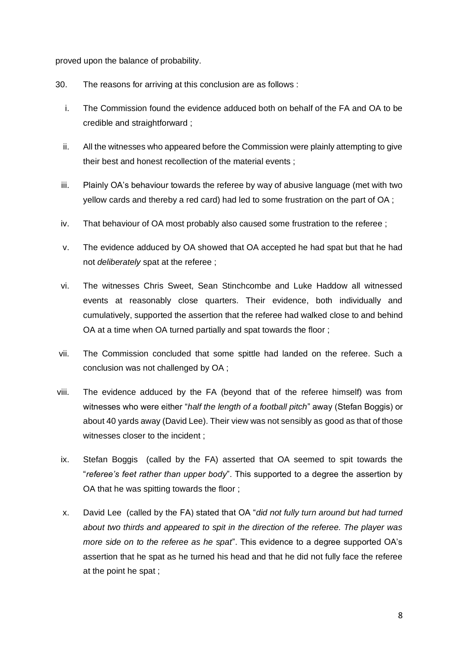proved upon the balance of probability.

- 30. The reasons for arriving at this conclusion are as follows :
	- i. The Commission found the evidence adduced both on behalf of the FA and OA to be credible and straightforward ;
	- ii. All the witnesses who appeared before the Commission were plainly attempting to give their best and honest recollection of the material events ;
	- iii. Plainly OA's behaviour towards the referee by way of abusive language (met with two yellow cards and thereby a red card) had led to some frustration on the part of OA ;
	- iv. That behaviour of OA most probably also caused some frustration to the referee ;
	- v. The evidence adduced by OA showed that OA accepted he had spat but that he had not *deliberately* spat at the referee ;
	- vi. The witnesses Chris Sweet, Sean Stinchcombe and Luke Haddow all witnessed events at reasonably close quarters. Their evidence, both individually and cumulatively, supported the assertion that the referee had walked close to and behind OA at a time when OA turned partially and spat towards the floor ;
- vii. The Commission concluded that some spittle had landed on the referee. Such a conclusion was not challenged by OA ;
- viii. The evidence adduced by the FA (beyond that of the referee himself) was from witnesses who were either "*half the length of a football pitch*" away (Stefan Boggis) or about 40 yards away (David Lee). Their view was not sensibly as good as that of those witnesses closer to the incident ;
- ix. Stefan Boggis (called by the FA) asserted that OA seemed to spit towards the "*referee's feet rather than upper body*". This supported to a degree the assertion by OA that he was spitting towards the floor ;
- x. David Lee (called by the FA) stated that OA "*did not fully turn around but had turned about two thirds and appeared to spit in the direction of the referee. The player was more side on to the referee as he spat*". This evidence to a degree supported OA's assertion that he spat as he turned his head and that he did not fully face the referee at the point he spat ;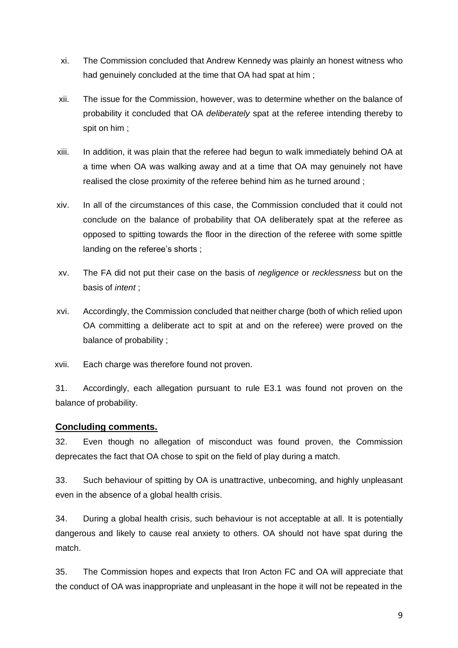- xi. The Commission concluded that Andrew Kennedy was plainly an honest witness who had genuinely concluded at the time that OA had spat at him :
- xii. The issue for the Commission, however, was to determine whether on the balance of probability it concluded that OA *deliberately* spat at the referee intending thereby to spit on him ;
- xiii. In addition, it was plain that the referee had begun to walk immediately behind OA at a time when OA was walking away and at a time that OA may genuinely not have realised the close proximity of the referee behind him as he turned around ;
- xiv. In all of the circumstances of this case, the Commission concluded that it could not conclude on the balance of probability that OA deliberately spat at the referee as opposed to spitting towards the floor in the direction of the referee with some spittle landing on the referee's shorts ;
- xv. The FA did not put their case on the basis of *negligence* or *recklessness* but on the basis of *intent* ;
- xvi. Accordingly, the Commission concluded that neither charge (both of which relied upon OA committing a deliberate act to spit at and on the referee) were proved on the balance of probability ;
- xvii. Each charge was therefore found not proven.

31. Accordingly, each allegation pursuant to rule E3.1 was found not proven on the balance of probability.

#### **Concluding comments.**

32. Even though no allegation of misconduct was found proven, the Commission deprecates the fact that OA chose to spit on the field of play during a match.

33. Such behaviour of spitting by OA is unattractive, unbecoming, and highly unpleasant even in the absence of a global health crisis.

34. During a global health crisis, such behaviour is not acceptable at all. It is potentially dangerous and likely to cause real anxiety to others. OA should not have spat during the match.

35. The Commission hopes and expects that Iron Acton FC and OA will appreciate that the conduct of OA was inappropriate and unpleasant in the hope it will not be repeated in the